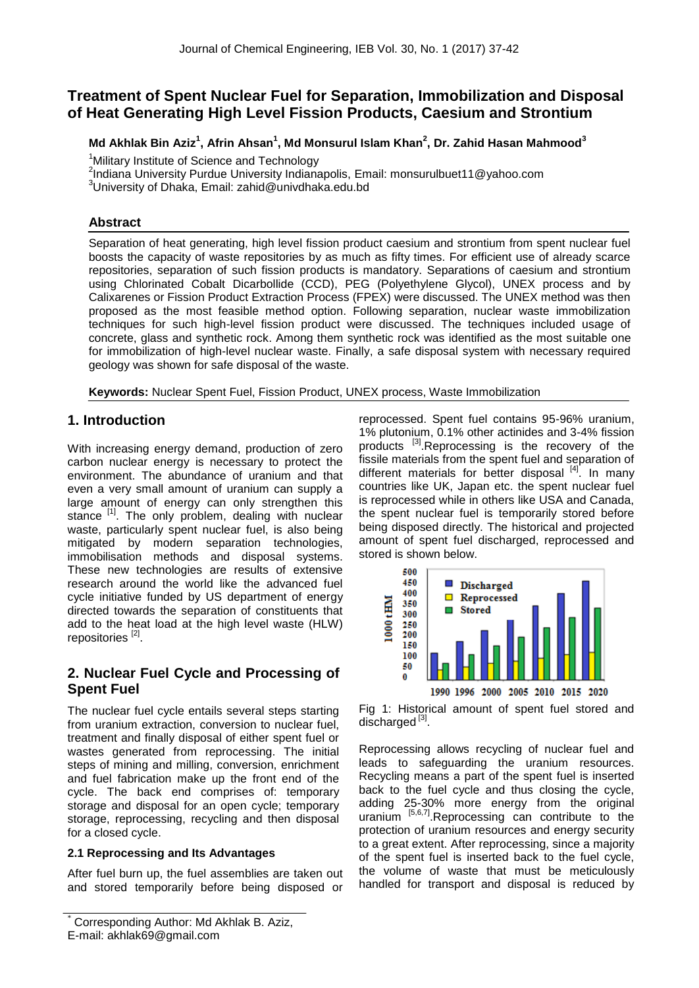# **Treatment of Spent Nuclear Fuel for Separation, Immobilization and Disposal of Heat Generating High Level Fission Products, Caesium and Strontium**

## **Md Akhlak Bin Aziz<sup>1</sup> , Afrin Ahsan<sup>1</sup> , Md Monsurul Islam Khan<sup>2</sup> , Dr. Zahid Hasan Mahmood<sup>3</sup>**

<sup>1</sup>Military Institute of Science and Technology

2 Indiana University Purdue University Indianapolis, Email: monsurulbuet11@yahoo.com

<sup>3</sup>University of Dhaka, Email: zahid@univdhaka.edu.bd

### **Abstract**

Separation of heat generating, high level fission product caesium and strontium from spent nuclear fuel boosts the capacity of waste repositories by as much as fifty times. For efficient use of already scarce repositories, separation of such fission products is mandatory. Separations of caesium and strontium using Chlorinated Cobalt Dicarbollide (CCD), PEG (Polyethylene Glycol), UNEX process and by Calixarenes or Fission Product Extraction Process (FPEX) were discussed. The UNEX method was then proposed as the most feasible method option. Following separation, nuclear waste immobilization techniques for such high-level fission product were discussed. The techniques included usage of concrete, glass and synthetic rock. Among them synthetic rock was identified as the most suitable one for immobilization of high-level nuclear waste. Finally, a safe disposal system with necessary required geology was shown for safe disposal of the waste.

**Keywords:** Nuclear Spent Fuel, Fission Product, UNEX process, Waste Immobilization

## **1. Introduction**

With increasing energy demand, production of zero carbon nuclear energy is necessary to protect the environment. The abundance of uranium and that even a very small amount of uranium can supply a large amount of energy can only strengthen this stance [1]. The only problem, dealing with nuclear waste, particularly spent nuclear fuel, is also being mitigated by modern separation technologies, immobilisation methods and disposal systems. These new technologies are results of extensive research around the world like the advanced fuel cycle initiative funded by US department of energy directed towards the separation of constituents that add to the heat load at the high level waste (HLW) repositories<sup>[2]</sup>.

## **2. Nuclear Fuel Cycle and Processing of Spent Fuel**

The nuclear fuel cycle entails several steps starting from uranium extraction, conversion to nuclear fuel, treatment and finally disposal of either spent fuel or wastes generated from reprocessing. The initial steps of mining and milling, conversion, enrichment and fuel fabrication make up the front end of the cycle. The back end comprises of: temporary storage and disposal for an open cycle; temporary storage, reprocessing, recycling and then disposal for a closed cycle.

### **2.1 Reprocessing and Its Advantages**

After fuel burn up, the fuel assemblies are taken out and stored temporarily before being disposed or reprocessed. Spent fuel contains 95-96% uranium, 1% plutonium, 0.1% other actinides and 3-4% fission products [3].Reprocessing is the recovery of the fissile materials from the spent fuel and separation of different materials for better disposal  $[4]$ . In many countries like UK, Japan etc. the spent nuclear fuel is reprocessed while in others like USA and Canada, the spent nuclear fuel is temporarily stored before being disposed directly. The historical and projected amount of spent fuel discharged, reprocessed and stored is shown below.



Fig 1: Historical amount of spent fuel stored and discharged<sup>[3]</sup>.

Reprocessing allows recycling of nuclear fuel and leads to safeguarding the uranium resources. Recycling means a part of the spent fuel is inserted back to the fuel cycle and thus closing the cycle, adding 25-30% more energy from the original uranium  $\overline{[5,6,7]}$ . Reprocessing can contribute to the protection of uranium resources and energy security to a great extent. After reprocessing, since a majority of the spent fuel is inserted back to the fuel cycle, the volume of waste that must be meticulously handled for transport and disposal is reduced by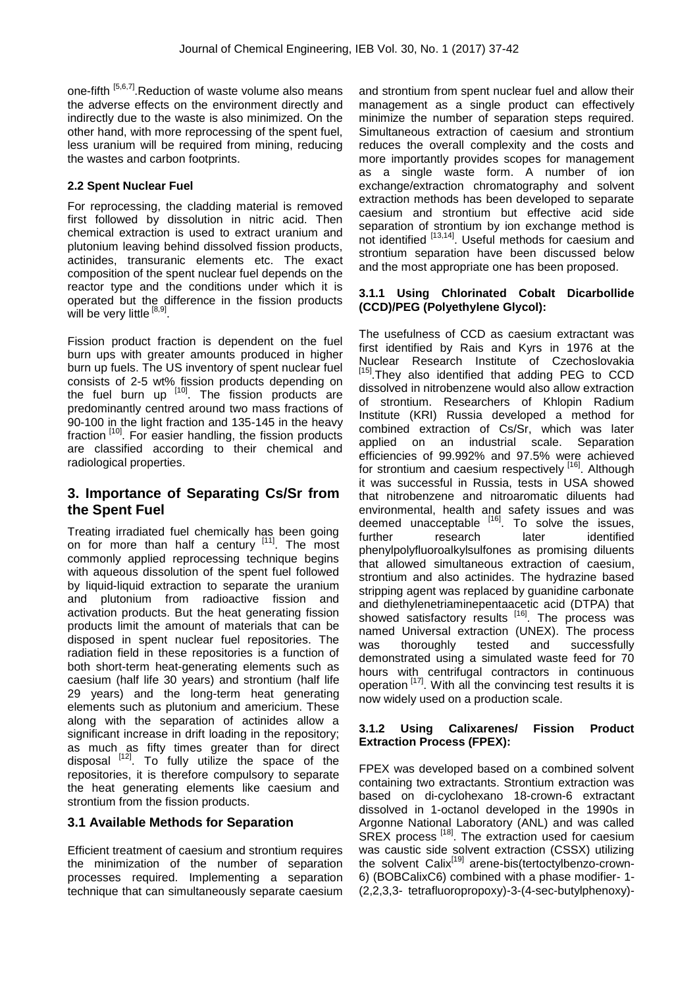one-fifth [5,6,7]. Reduction of waste volume also means the adverse effects on the environment directly and indirectly due to the waste is also minimized. On the other hand, with more reprocessing of the spent fuel, less uranium will be required from mining, reducing the wastes and carbon footprints.

### **2.2 Spent Nuclear Fuel**

For reprocessing, the cladding material is removed first followed by dissolution in nitric acid. Then chemical extraction is used to extract uranium and plutonium leaving behind dissolved fission products, actinides, transuranic elements etc. The exact composition of the spent nuclear fuel depends on the reactor type and the conditions under which it is operated but the difference in the fission products will be very little [8,9].

Fission product fraction is dependent on the fuel burn ups with greater amounts produced in higher burn up fuels. The US inventory of spent nuclear fuel consists of 2-5 wt% fission products depending on the fuel burn up  $[10]$ . The fission products are predominantly centred around two mass fractions of 90-100 in the light fraction and 135-145 in the heavy fraction [10]. For easier handling, the fission products are classified according to their chemical and radiological properties.

### **3. Importance of Separating Cs/Sr from the Spent Fuel**

Treating irradiated fuel chemically has been going on for more than half a century [11]. The most commonly applied reprocessing technique begins with aqueous dissolution of the spent fuel followed by liquid-liquid extraction to separate the uranium and plutonium from radioactive fission and activation products. But the heat generating fission products limit the amount of materials that can be disposed in spent nuclear fuel repositories. The radiation field in these repositories is a function of both short-term heat-generating elements such as caesium (half life 30 years) and strontium (half life 29 years) and the long-term heat generating elements such as plutonium and americium. These along with the separation of actinides allow a significant increase in drift loading in the repository; as much as fifty times greater than for direct disposal  $[12]$ . To fully utilize the space of the repositories, it is therefore compulsory to separate the heat generating elements like caesium and strontium from the fission products.

### **3.1 Available Methods for Separation**

Efficient treatment of caesium and strontium requires the minimization of the number of separation processes required. Implementing a separation technique that can simultaneously separate caesium and strontium from spent nuclear fuel and allow their management as a single product can effectively minimize the number of separation steps required. Simultaneous extraction of caesium and strontium reduces the overall complexity and the costs and more importantly provides scopes for management as a single waste form. A number of ion exchange/extraction chromatography and solvent extraction methods has been developed to separate caesium and strontium but effective acid side separation of strontium by ion exchange method is not identified [13,14]. Useful methods for caesium and strontium separation have been discussed below and the most appropriate one has been proposed.

#### **3.1.1 Using Chlorinated Cobalt Dicarbollide (CCD)/PEG (Polyethylene Glycol):**

The usefulness of CCD as caesium extractant was first identified by Rais and Kyrs in 1976 at the Nuclear Research Institute of Czechoslovakia [15]. They also identified that adding PEG to CCD dissolved in nitrobenzene would also allow extraction of strontium. Researchers of Khlopin Radium Institute (KRI) Russia developed a method for combined extraction of Cs/Sr, which was later applied on an industrial scale. Separation efficiencies of 99.992% and 97.5% were achieved for strontium and caesium respectively [16]. Although it was successful in Russia, tests in USA showed that nitrobenzene and nitroaromatic diluents had environmental, health and safety issues and was deemed unacceptable  $[16]$ . To solve the issues, further research later identified phenylpolyfluoroalkylsulfones as promising diluents that allowed simultaneous extraction of caesium, strontium and also actinides. The hydrazine based stripping agent was replaced by guanidine carbonate and diethylenetriaminepentaacetic acid (DTPA) that showed satisfactory results [16]. The process was named Universal extraction (UNEX). The process was thoroughly tested and successfully demonstrated using a simulated waste feed for 70 hours with centrifugal contractors in continuous operation <sup>[17]</sup>. With all the convincing test results it is now widely used on a production scale.

#### **3.1.2 Using Calixarenes/ Fission Product Extraction Process (FPEX):**

FPEX was developed based on a combined solvent containing two extractants. Strontium extraction was based on di-cyclohexano 18-crown-6 extractant dissolved in 1-octanol developed in the 1990s in Argonne National Laboratory (ANL) and was called SREX process <sup>[18]</sup>. The extraction used for caesium was caustic side solvent extraction (CSSX) utilizing the solvent Calix<sup>[19]</sup> arene-bis(tertoctylbenzo-crown-6) (BOBCalixC6) combined with a phase modifier- 1- (2,2,3,3- tetrafluoropropoxy)-3-(4-sec-butylphenoxy)-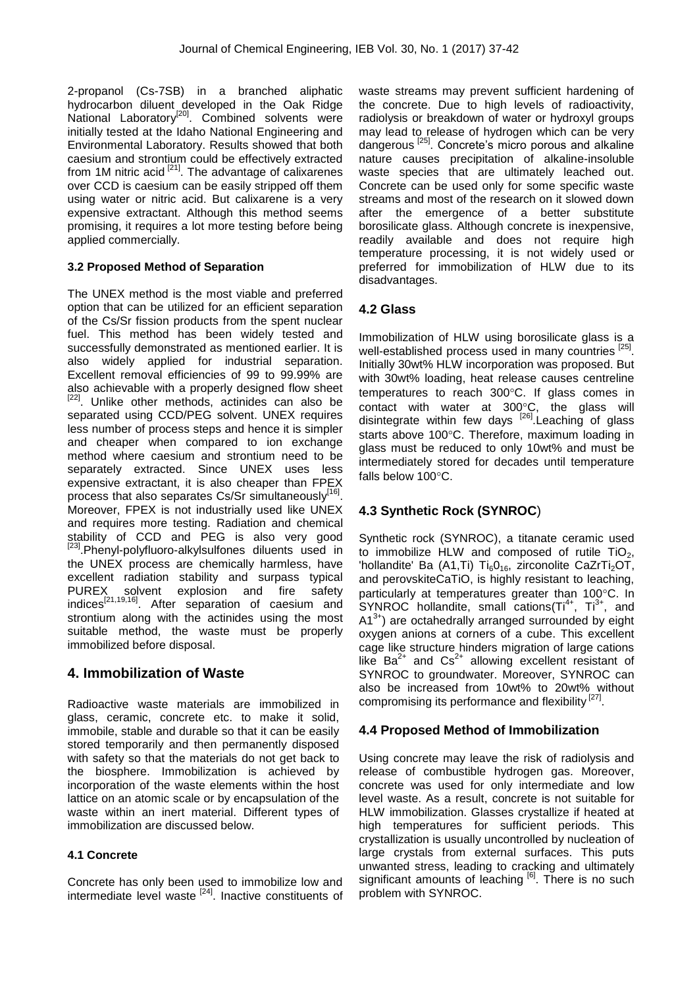2-propanol (Cs-7SB) in a branched aliphatic hydrocarbon diluent developed in the Oak Ridge National Laboratory<sup>[20]</sup>. Combined solvents were initially tested at the Idaho National Engineering and Environmental Laboratory. Results showed that both caesium and strontium could be effectively extracted from 1M nitric acid  $[21]$ . The advantage of calixarenes over CCD is caesium can be easily stripped off them using water or nitric acid. But calixarene is a very expensive extractant. Although this method seems promising, it requires a lot more testing before being applied commercially.

### **3.2 Proposed Method of Separation**

The UNEX method is the most viable and preferred option that can be utilized for an efficient separation of the Cs/Sr fission products from the spent nuclear fuel. This method has been widely tested and successfully demonstrated as mentioned earlier. It is also widely applied for industrial separation. Excellent removal efficiencies of 99 to 99.99% are also achievable with a properly designed flow sheet <sup>[22]</sup>. Unlike other methods, actinides can also be separated using CCD/PEG solvent. UNEX requires less number of process steps and hence it is simpler and cheaper when compared to ion exchange method where caesium and strontium need to be separately extracted. Since UNEX uses less expensive extractant, it is also cheaper than FPEX process that also separates Cs/Sr simultaneously<sup>[16]</sup>. Moreover, FPEX is not industrially used like UNEX and requires more testing. Radiation and chemical stability of CCD and PEG is also very good <sup>[23]</sup>.Phenyl-polyfluoro-alkylsulfones diluents used in the UNEX process are chemically harmless, have excellent radiation stability and surpass typical PUREX solvent explosion and fire safety indices[21,19,16]. After separation of caesium and strontium along with the actinides using the most suitable method, the waste must be properly immobilized before disposal.

# **4. Immobilization of Waste**

Radioactive waste materials are immobilized in glass, ceramic, concrete etc. to make it solid, immobile, stable and durable so that it can be easily stored temporarily and then permanently disposed with safety so that the materials do not get back to the biosphere. Immobilization is achieved by incorporation of the waste elements within the host lattice on an atomic scale or by encapsulation of the waste within an inert material. Different types of immobilization are discussed below.

## **4.1 Concrete**

Concrete has only been used to immobilize low and intermediate level waste <sup>[24]</sup>. Inactive constituents of waste streams may prevent sufficient hardening of the concrete. Due to high levels of radioactivity, radiolysis or breakdown of water or hydroxyl groups may lead to release of hydrogen which can be very dangerous [25]. Concrete's micro porous and alkaline nature causes precipitation of alkaline-insoluble waste species that are ultimately leached out. Concrete can be used only for some specific waste streams and most of the research on it slowed down after the emergence of a better substitute borosilicate glass. Although concrete is inexpensive, readily available and does not require high temperature processing, it is not widely used or preferred for immobilization of HLW due to its disadvantages.

### **4.2 Glass**

Immobilization of HLW using borosilicate glass is a well-established process used in many countries [25]. Initially 30wt% HLW incorporation was proposed. But with 30wt% loading, heat release causes centreline temperatures to reach 300°C. If glass comes in contact with water at  $300^{\circ}$ C, the glass will disintegrate within few days  $^{[26]}$ . Leaching of glass starts above 100°C. Therefore, maximum loading in glass must be reduced to only 10wt% and must be intermediately stored for decades until temperature falls below  $100^{\circ}$ C.

## **4.3 Synthetic Rock (SYNROC**)

Synthetic rock (SYNROC), a titanate ceramic used to immobilize HLW and composed of rutile  $TiO<sub>2</sub>$ , 'hollandite' Ba (A1,Ti) Ti $_60_{16}$ , zirconolite CaZrTi<sub>2</sub>OT, and perovskiteCaTiO, is highly resistant to leaching, particularly at temperatures greater than  $100^{\circ}$ C. In  $SYNROC$  hollandite, small cations( $Ti<sup>4+</sup>$ ,  $Ti<sup>3+</sup>$ , and  $A1^{3+}$ ) are octahedrally arranged surrounded by eight oxygen anions at corners of a cube. This excellent cage like structure hinders migration of large cations like  $Ba^{2+}$  and  $Cs^{2+}$  allowing excellent resistant of SYNROC to groundwater. Moreover, SYNROC can also be increased from 10wt% to 20wt% without compromising its performance and flexibility [27].

## **4.4 Proposed Method of Immobilization**

Using concrete may leave the risk of radiolysis and release of combustible hydrogen gas. Moreover, concrete was used for only intermediate and low level waste. As a result, concrete is not suitable for HLW immobilization. Glasses crystallize if heated at high temperatures for sufficient periods. This crystallization is usually uncontrolled by nucleation of large crystals from external surfaces. This puts unwanted stress, leading to cracking and ultimately significant amounts of leaching <sup>[6]</sup>. There is no such problem with SYNROC.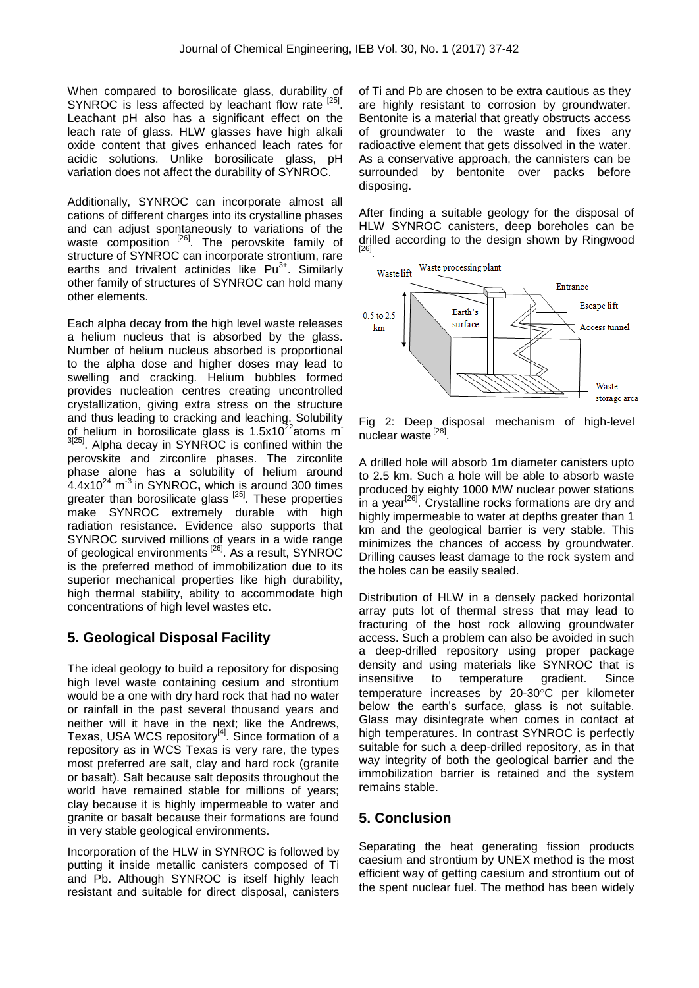When compared to borosilicate glass, durability of SYNROC is less affected by leachant flow rate [25]. Leachant pH also has a significant effect on the leach rate of glass. HLW glasses have high alkali oxide content that gives enhanced leach rates for acidic solutions. Unlike borosilicate glass, pH variation does not affect the durability of SYNROC.

Additionally, SYNROC can incorporate almost all cations of different charges into its crystalline phases and can adjust spontaneously to variations of the waste composition  $^{[26]}$ . The perovskite family of structure of SYNROC can incorporate strontium, rare earths and trivalent actinides like  $Pu^{3+}$ . Similarly other family of structures of SYNROC can hold many other elements.

Each alpha decay from the high level waste releases a helium nucleus that is absorbed by the glass. Number of helium nucleus absorbed is proportional to the alpha dose and higher doses may lead to swelling and cracking. Helium bubbles formed provides nucleation centres creating uncontrolled crystallization, giving extra stress on the structure and thus leading to cracking and leaching. Solubility of helium in borosilicate glass is  $1.5x10^{22}$ atoms m <sup>3[25]</sup>. Alpha decay in SYNROC is confined within the perovskite and zirconlire phases. The zirconlite phase alone has a solubility of helium around 4.4x10<sup>24</sup> m -3 in SYNROC**,** which is around 300 times greater than borosilicate glass <sup>[25]</sup>. These properties make SYNROC extremely durable with high radiation resistance. Evidence also supports that SYNROC survived millions of years in a wide range of geological environments<sup>[26]</sup>. As a result, SYNROC is the preferred method of immobilization due to its superior mechanical properties like high durability, high thermal stability, ability to accommodate high concentrations of high level wastes etc.

## **5. Geological Disposal Facility**

The ideal geology to build a repository for disposing high level waste containing cesium and strontium would be a one with dry hard rock that had no water or rainfall in the past several thousand years and neither will it have in the next; like the Andrews, Texas, USA WCS repository $[4]$ . Since formation of a repository as in WCS Texas is very rare, the types most preferred are salt, clay and hard rock (granite or basalt). Salt because salt deposits throughout the world have remained stable for millions of years; clay because it is highly impermeable to water and granite or basalt because their formations are found in very stable geological environments.

Incorporation of the HLW in SYNROC is followed by putting it inside metallic canisters composed of Ti and Pb. Although SYNROC is itself highly leach resistant and suitable for direct disposal, canisters of Ti and Pb are chosen to be extra cautious as they are highly resistant to corrosion by groundwater. Bentonite is a material that greatly obstructs access of groundwater to the waste and fixes any radioactive element that gets dissolved in the water. As a conservative approach, the cannisters can be surrounded by bentonite over packs before disposing.

After finding a suitable geology for the disposal of HLW SYNROC canisters, deep boreholes can be drilled according to the design shown by Ringwood [26] .



Fig 2: Deep disposal mechanism of high-level nuclear waste [28].

A drilled hole will absorb 1m diameter canisters upto to 2.5 km. Such a hole will be able to absorb waste produced by eighty 1000 MW nuclear power stations in a year<sup>[26]</sup>. Crystalline rocks formations are dry and highly impermeable to water at depths greater than 1 km and the geological barrier is very stable. This minimizes the chances of access by groundwater. Drilling causes least damage to the rock system and the holes can be easily sealed.

Distribution of HLW in a densely packed horizontal array puts lot of thermal stress that may lead to fracturing of the host rock allowing groundwater access. Such a problem can also be avoided in such a deep-drilled repository using proper package density and using materials like SYNROC that is insensitive to temperature gradient. Since temperature increases by 20-30°C per kilometer below the earth's surface, glass is not suitable. Glass may disintegrate when comes in contact at high temperatures. In contrast SYNROC is perfectly suitable for such a deep-drilled repository, as in that way integrity of both the geological barrier and the immobilization barrier is retained and the system remains stable.

## **5. Conclusion**

Separating the heat generating fission products caesium and strontium by UNEX method is the most efficient way of getting caesium and strontium out of the spent nuclear fuel. The method has been widely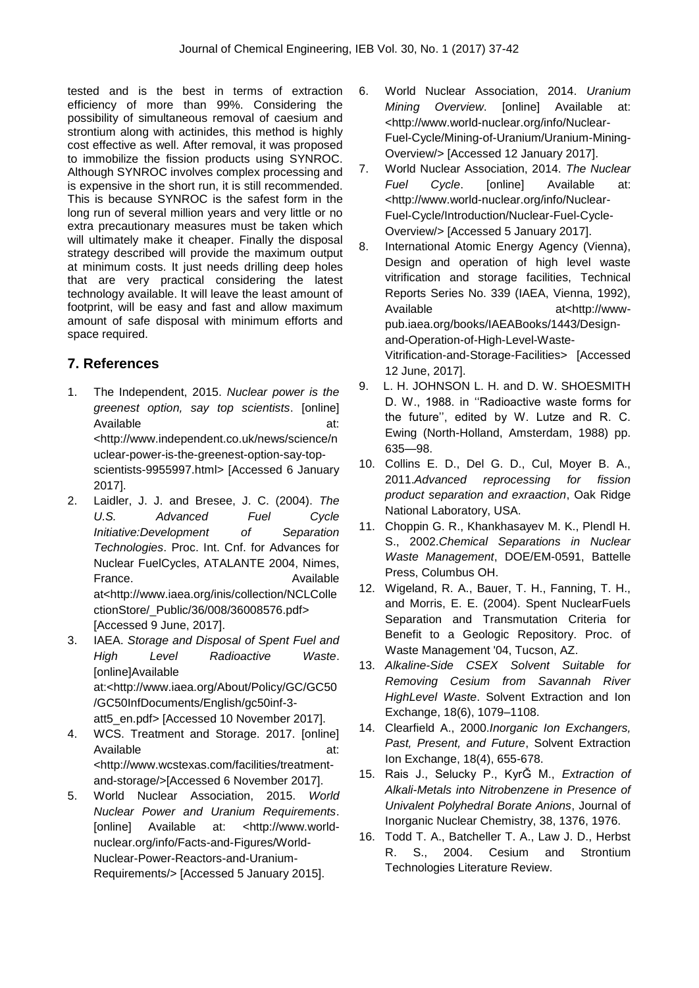tested and is the best in terms of extraction efficiency of more than 99%. Considering the possibility of simultaneous removal of caesium and strontium along with actinides, this method is highly cost effective as well. After removal, it was proposed to immobilize the fission products using SYNROC. Although SYNROC involves complex processing and is expensive in the short run, it is still recommended. This is because SYNROC is the safest form in the long run of several million years and very little or no extra precautionary measures must be taken which will ultimately make it cheaper. Finally the disposal strategy described will provide the maximum output at minimum costs. It just needs drilling deep holes that are very practical considering the latest technology available. It will leave the least amount of footprint, will be easy and fast and allow maximum amount of safe disposal with minimum efforts and space required.

# **7. References**

- 1. The Independent, 2015. *Nuclear power is the greenest option, say top scientists*. [online] Available at: [<http://www.independent.co.uk/news/science/n](http://www.independent.co.uk/news/science/nuclear-power-is-the-greenest-option-say-top-scientists-9955997.html) [uclear-power-is-the-greenest-option-say-top](http://www.independent.co.uk/news/science/nuclear-power-is-the-greenest-option-say-top-scientists-9955997.html)[scientists-9955997.html>](http://www.independent.co.uk/news/science/nuclear-power-is-the-greenest-option-say-top-scientists-9955997.html) [Accessed 6 January 2017].
- 2. Laidler, J. J. and Bresee, J. C. (2004). *The U.S. Advanced Fuel Cycle Initiative:Development of Separation Technologies*. Proc. Int. Cnf. for Advances for Nuclear FuelCycles, ATALANTE 2004, Nimes, France. Available Available at[<http://www.iaea.org/inis/collection/NCLColle](http://www.iaea.org/inis/collection/NCLCollectionStore/_Public/36/008/36008576.pdf) [ctionStore/\\_Public/36/008/36008576.pdf>](http://www.iaea.org/inis/collection/NCLCollectionStore/_Public/36/008/36008576.pdf) [Accessed 9 June, 2017].
- 3. IAEA. *Storage and Disposal of Spent Fuel and High Level Radioactive Waste*. [online]Available at:<http://www.iaea.org/About/Policy/GC/GC50 /GC50InfDocuments/English/gc50inf-3 att5\_en.pdf> [Accessed 10 November 2017].
- 4. WCS. Treatment and Storage. 2017. [online] Available at: at: <http://www.wcstexas.com/facilities/treatmentand-storage/>[Accessed 6 November 2017].
- 5. World Nuclear Association, 2015. *World Nuclear Power and Uranium Requirements*. [online] Available at: [<http://www.world](http://www.world-nuclear.org/info/Facts-and-Figures/World-Nuclear-Power-Reactors-and-Uranium-Requirements/)[nuclear.org/info/Facts-and-Figures/World-](http://www.world-nuclear.org/info/Facts-and-Figures/World-Nuclear-Power-Reactors-and-Uranium-Requirements/)[Nuclear-Power-Reactors-and-Uranium-](http://www.world-nuclear.org/info/Facts-and-Figures/World-Nuclear-Power-Reactors-and-Uranium-Requirements/)[Requirements/>](http://www.world-nuclear.org/info/Facts-and-Figures/World-Nuclear-Power-Reactors-and-Uranium-Requirements/) [Accessed 5 January 2015].
- 6. World Nuclear Association, 2014. *Uranium Mining Overview*. [online] Available at: [<http://www.world-nuclear.org/info/Nuclear-](http://www.world-nuclear.org/info/Nuclear-Fuel-Cycle/Mining-of-Uranium/Uranium-Mining-Overview/)[Fuel-Cycle/Mining-of-Uranium/Uranium-Mining-](http://www.world-nuclear.org/info/Nuclear-Fuel-Cycle/Mining-of-Uranium/Uranium-Mining-Overview/)[Overview/>](http://www.world-nuclear.org/info/Nuclear-Fuel-Cycle/Mining-of-Uranium/Uranium-Mining-Overview/) [Accessed 12 January 2017].
- 7. World Nuclear Association, 2014. *The Nuclear Fuel Cycle*. [online] Available at: [<http://www.world-nuclear.org/info/Nuclear-](http://www.world-nuclear.org/info/Nuclear-Fuel-Cycle/Introduction/Nuclear-Fuel-Cycle-Overview/)[Fuel-Cycle/Introduction/Nuclear-Fuel-Cycle-](http://www.world-nuclear.org/info/Nuclear-Fuel-Cycle/Introduction/Nuclear-Fuel-Cycle-Overview/)[Overview/>](http://www.world-nuclear.org/info/Nuclear-Fuel-Cycle/Introduction/Nuclear-Fuel-Cycle-Overview/) [Accessed 5 January 2017].
- 8. International Atomic Energy Agency (Vienna), Design and operation of high level waste vitrification and storage facilities, Technical Reports Series No. 339 (IAEA, Vienna, 1992), Available at <http://wwwpub.iaea.org/books/IAEABooks/1443/Designand-Operation-of-High-Level-Waste-Vitrification-and-Storage-Facilities> [Accessed 12 June, 2017].
- 9. L. H. JOHNSON L. H. and D. W. SHOESMITH D. W., 1988. in ''Radioactive waste forms for the future'', edited by W. Lutze and R. C. Ewing (North-Holland, Amsterdam, 1988) pp. 635—98.
- 10. Collins E. D., Del G. D., Cul, Moyer B. A., 2011.*Advanced reprocessing for fission product separation and exraaction*, Oak Ridge National Laboratory, USA.
- 11. Choppin G. R., Khankhasayev M. K., Plendl H. S., 2002.*Chemical Separations in Nuclear Waste Management*, DOE/EM-0591, Battelle Press, Columbus OH.
- 12. Wigeland, R. A., Bauer, T. H., Fanning, T. H., and Morris, E. E. (2004). Spent NuclearFuels Separation and Transmutation Criteria for Benefit to a Geologic Repository. Proc. of Waste Management '04, Tucson, AZ.
- 13. *Alkaline-Side CSEX Solvent Suitable for Removing Cesium from Savannah River HighLevel Waste*. Solvent Extraction and Ion Exchange, 18(6), 1079–1108.
- 14. Clearfield A., 2000.*Inorganic Ion Exchangers, Past, Present, and Future*, Solvent Extraction Ion Exchange, 18(4), 655-678.
- 15. Rais J., Selucky P., KyrĞ M., *Extraction of Alkali-Metals into Nitrobenzene in Presence of Univalent Polyhedral Borate Anions*, Journal of Inorganic Nuclear Chemistry, 38, 1376, 1976.
- 16. Todd T. A., Batcheller T. A., Law J. D., Herbst R. S., 2004. Cesium and Strontium Technologies Literature Review.